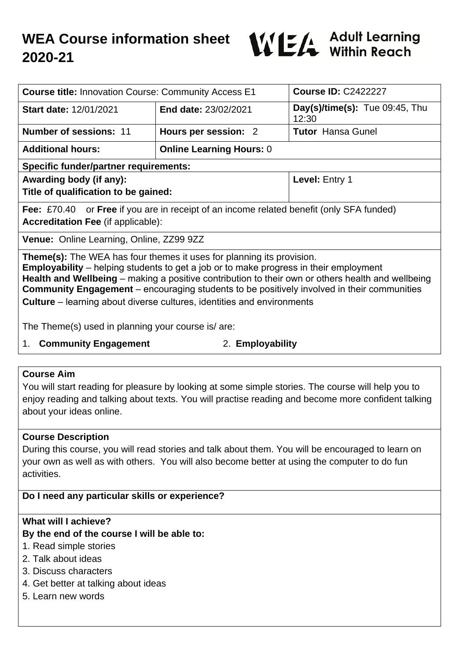

| <b>Course title: Innovation Course: Community Access E1</b>                                                                                                                                                                                                                                                                                                                            |                                 | <b>Course ID: C2422227</b>                 |
|----------------------------------------------------------------------------------------------------------------------------------------------------------------------------------------------------------------------------------------------------------------------------------------------------------------------------------------------------------------------------------------|---------------------------------|--------------------------------------------|
| <b>Start date: 12/01/2021</b>                                                                                                                                                                                                                                                                                                                                                          | End date: 23/02/2021            | $Day(s)/time(s)$ : Tue 09:45, Thu<br>12:30 |
| <b>Number of sessions: 11</b>                                                                                                                                                                                                                                                                                                                                                          | Hours per session: 2            | <b>Tutor</b> Hansa Gunel                   |
| <b>Additional hours:</b>                                                                                                                                                                                                                                                                                                                                                               | <b>Online Learning Hours: 0</b> |                                            |
| <b>Specific funder/partner requirements:</b>                                                                                                                                                                                                                                                                                                                                           |                                 |                                            |
| Awarding body (if any):                                                                                                                                                                                                                                                                                                                                                                |                                 | Level: Entry 1                             |
| Title of qualification to be gained:                                                                                                                                                                                                                                                                                                                                                   |                                 |                                            |
| <b>Fee:</b> £70.40 or <b>Free</b> if you are in receipt of an income related benefit (only SFA funded)<br><b>Accreditation Fee (if applicable):</b>                                                                                                                                                                                                                                    |                                 |                                            |
| Venue: Online Learning, Online, ZZ99 9ZZ                                                                                                                                                                                                                                                                                                                                               |                                 |                                            |
| <b>Theme(s):</b> The WEA has four themes it uses for planning its provision.<br><b>Employability</b> – helping students to get a job or to make progress in their employment<br>Health and Wellbeing – making a positive contribution to their own or others health and wellbeing<br><b>Community Engagement</b> – encouraging students to be positively involved in their communities |                                 |                                            |

**Culture** – learning about diverse cultures, identities and environments

The Theme(s) used in planning your course is/ are:

1. **Community Engagement** 2. **Employability**

# **Course Aim**

You will start reading for pleasure by looking at some simple stories. The course will help you to enjoy reading and talking about texts. You will practise reading and become more confident talking about your ideas online.

## **Course Description**

During this course, you will read stories and talk about them. You will be encouraged to learn on your own as well as with others. You will also become better at using the computer to do fun activities.

## **Do I need any particular skills or experience?**

## **What will I achieve?**

## **By the end of the course I will be able to:**

- 1. Read simple stories
- 2. Talk about ideas
- 3. Discuss characters
- 4. Get better at talking about ideas
- 5. Learn new words